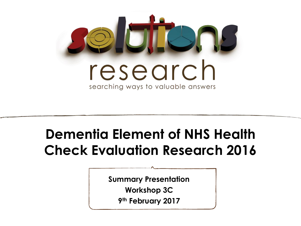

## **Dementia Element of NHS Health Check Evaluation Research 2016**

**Summary Presentation**

**Workshop 3C**

**9 th February 2017**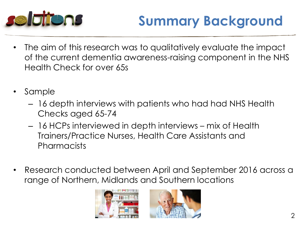

# **Summary Background**

- The aim of this research was to qualitatively evaluate the impact of the current dementia awareness-raising component in the NHS Health Check for over 65s
- Sample
	- 16 depth interviews with patients who had had NHS Health Checks aged 65-74
	- 16 HCPs interviewed in depth interviews mix of Health Trainers/Practice Nurses, Health Care Assistants and Pharmacists
- Research conducted between April and September 2016 across a range of Northern, Midlands and Southern locations



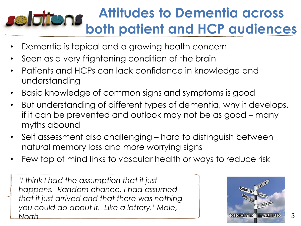### **Attitudes to Dementia across Belaitens both patient and HCP audiences**

- Dementia is topical and a growing health concern
- Seen as a very frightening condition of the brain
- Patients and HCPs can lack confidence in knowledge and understanding
- Basic knowledge of common signs and symptoms is good
- But understanding of different types of dementia, why it develops, if it can be prevented and outlook may not be as good – many myths abound
- Self assessment also challenging hard to distinguish between natural memory loss and more worrying signs
- Few top of mind links to vascular health or ways to reduce risk

*'I think I had the assumption that it just happens. Random chance. I had assumed that it just arrived and that there was nothing you could do about it. Like a lottery.' Male, North*



3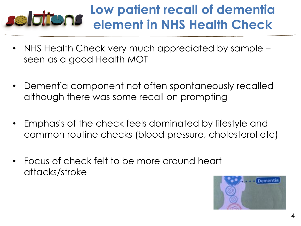#### **Low patient recall of dementia Belgijens element in NHS Health Check**

- NHS Health Check very much appreciated by sample seen as a good Health MOT
- Dementia component not often spontaneously recalled although there was some recall on prompting
- Emphasis of the check feels dominated by lifestyle and common routine checks (blood pressure, cholesterol etc)
- Focus of check felt to be more around heart attacks/stroke

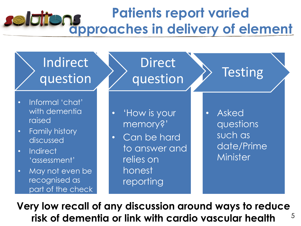### **Patients report varied Seldit approaches in delivery of element**

Direct

question >> Testing

Indirect question

- Informal 'chat' with dementia raised
- Family history discussed
- Indirect 'assessment'
- May not even be recognised as part of the check

• 'How is your memory?'

• Can be hard to answer and relies on honest reporting

• Asked questions such as date/Prime **Minister** 

5 **Very low recall of any discussion around ways to reduce risk of dementia or link with cardio vascular health**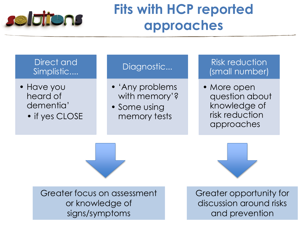

## **Fits with HCP reported approaches**

Direct and Simplistic....

- Have you heard of dementia'
	- if yes CLOSE

#### Diagnostic...

- 'Any problems with memory'?
- Some using memory tests

Risk reduction (small number)

• More open question about knowledge of risk reduction approaches

Greater focus on assessment or knowledge of signs/symptoms

Greater opportunity for discussion around risks and prevention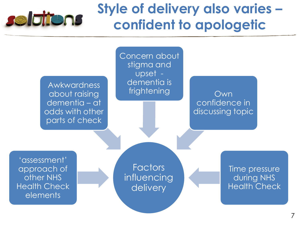

## **Style of delivery also varies – confident to apologetic**

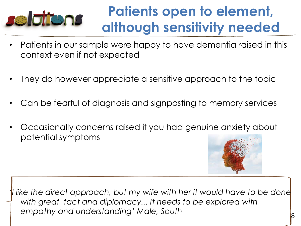

## **Patients open to element, although sensitivity needed**

- Patients in our sample were happy to have dementia raised in this context even if not expected
- They do however appreciate a sensitive approach to the topic
- Can be fearful of diagnosis and signposting to memory services
- Occasionally concerns raised if you had genuine anxiety about potential symptoms



like the direct approach, but my wife with her it would have to be done *with great tact and diplomacy... It needs to be explored with empathy and understanding' Male, South*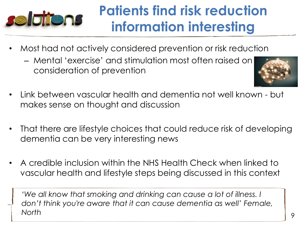# **selations**

# **Patients find risk reduction information interesting**

- Most had not actively considered prevention or risk reduction
	- Mental 'exercise' and stimulation most often raised on consideration of prevention



- Link between vascular health and dementia not well known but makes sense on thought and discussion
- That there are lifestyle choices that could reduce risk of developing dementia can be very interesting news
- A credible inclusion within the NHS Health Check when linked to vascular health and lifestyle steps being discussed in this context

'We all know that smoking and drinking can cause a lot of illness. I *don't think you're aware that it can cause dementia as well' Female, North*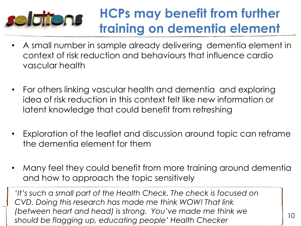#### **HCPs may benefit from further Seldions training on dementia element**

- A small number in sample already delivering dementia element in context of risk reduction and behaviours that influence cardio vascular health
- For others linking vascular health and dementia and exploring idea of risk reduction in this context felt like new information or latent knowledge that could benefit from refreshing
- Exploration of the leaflet and discussion around topic can reframe the dementia element for them
- Many feel they could benefit from more training around dementia and how to approach the topic sensitively

*'It's such a small part of the Health Check. The check is focused on CVD. Doing this research has made me think WOW! That link (between heart and head) is strong. You've made me think we should be flagging up, educating people' Health Checker*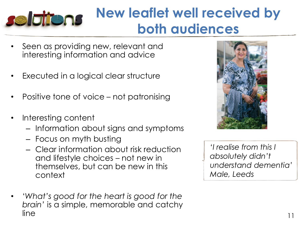## **New leaflet well received by Selatons both audiences**

- Seen as providing new, relevant and interesting information and advice
- Executed in a logical clear structure
- Positive tone of voice not patronising
- Interesting content
	- Information about signs and symptoms
	- Focus on myth busting
	- Clear information about risk reduction and lifestyle choices – not new in themselves, but can be new in this context
- '*What's good for the heart is good for the brain'* is a simple, memorable and catchy  $line$   $11$



*'I realise from this I absolutely didn't understand dementia' Male, Leeds*